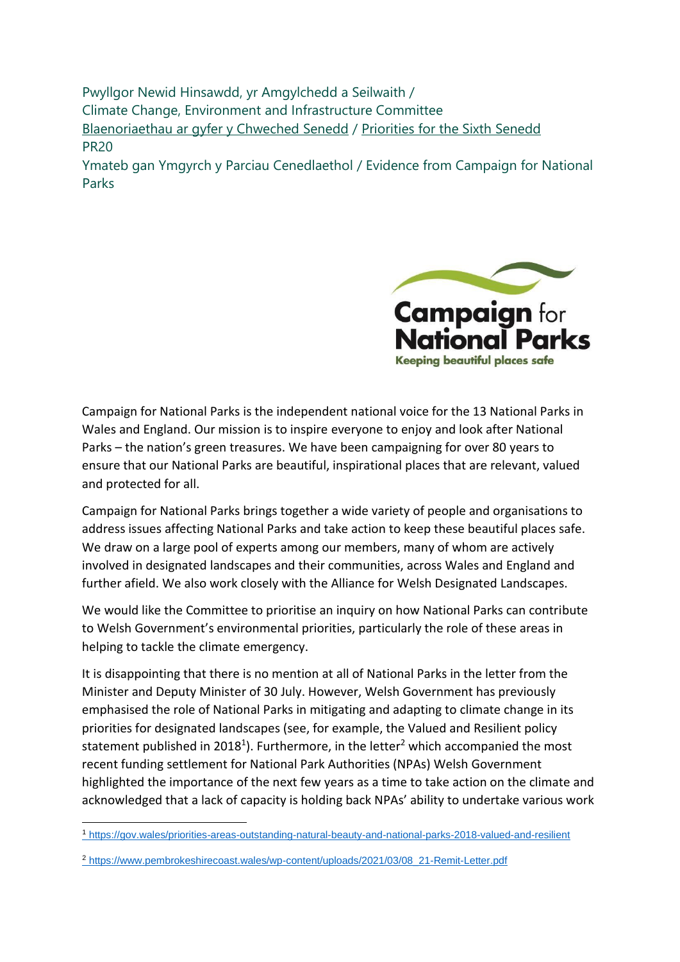Pwyllgor Newid Hinsawdd, yr Amgylchedd a Seilwaith / Climate Change, Environment and Infrastructure Committee [Blaenoriaethau ar gyfer y Chweched Senedd](https://busnes.senedd.cymru/mgConsultationDisplay.aspx?id=427&RPID=1026452002&cp=yes) / Priorities [for the Sixth Senedd](https://business.senedd.wales/mgConsultationDisplay.aspx?id=427&RPID=1026452002&cp=yes) PR20

Ymateb gan Ymgyrch y Parciau Cenedlaethol / Evidence from Campaign for National Parks



Campaign for National Parks is the independent national voice for the 13 National Parks in Wales and England. Our mission is to inspire everyone to enjoy and look after National Parks – the nation's green treasures. We have been campaigning for over 80 years to ensure that our National Parks are beautiful, inspirational places that are relevant, valued and protected for all.

Campaign for National Parks brings together a wide variety of people and organisations to address issues affecting National Parks and take action to keep these beautiful places safe. We draw on a large pool of experts among our members, many of whom are actively involved in designated landscapes and their communities, across Wales and England and further afield. We also work closely with the Alliance for Welsh Designated Landscapes.

We would like the Committee to prioritise an inquiry on how National Parks can contribute to Welsh Government's environmental priorities, particularly the role of these areas in helping to tackle the climate emergency.

It is disappointing that there is no mention at all of National Parks in the letter from the Minister and Deputy Minister of 30 July. However, Welsh Government has previously emphasised the role of National Parks in mitigating and adapting to climate change in its priorities for designated landscapes (see, for example, the Valued and Resilient policy statement published in 2018<sup>1</sup>). Furthermore, in the letter<sup>2</sup> which accompanied the most recent funding settlement for National Park Authorities (NPAs) Welsh Government highlighted the importance of the next few years as a time to take action on the climate and acknowledged that a lack of capacity is holding back NPAs' ability to undertake various work

<sup>1</sup> <https://gov.wales/priorities-areas-outstanding-natural-beauty-and-national-parks-2018-valued-and-resilient>

<sup>2</sup> [https://www.pembrokeshirecoast.wales/wp-content/uploads/2021/03/08\\_21-Remit-Letter.pdf](https://www.pembrokeshirecoast.wales/wp-content/uploads/2021/03/08_21-Remit-Letter.pdf)